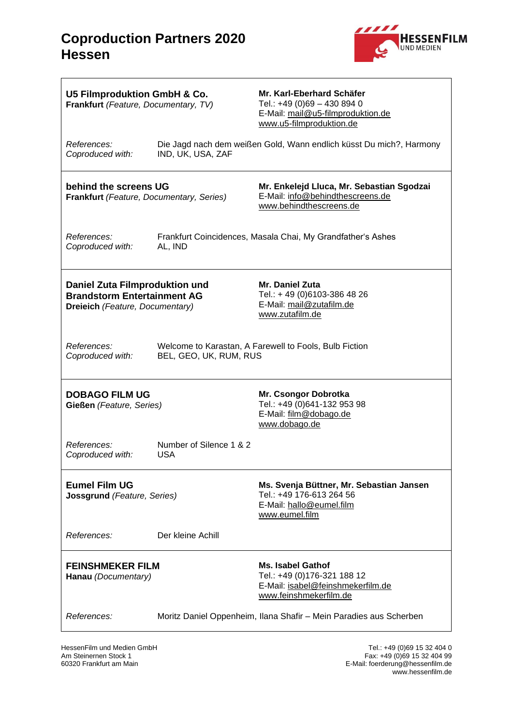## **Coproduction Partners 2020 Hessen**



| U5 Filmproduktion GmbH & Co.<br>Frankfurt (Feature, Documentary, TV)                                    |                                                                                          | Mr. Karl-Eberhard Schäfer<br>Tel.: +49 (0)69 - 430 894 0<br>E-Mail: mail@u5-filmproduktion.de<br>www.u5-filmproduktion.de |
|---------------------------------------------------------------------------------------------------------|------------------------------------------------------------------------------------------|---------------------------------------------------------------------------------------------------------------------------|
| <i>References:</i><br>Coproduced with:                                                                  | Die Jagd nach dem weißen Gold, Wann endlich küsst Du mich?, Harmony<br>IND, UK, USA, ZAF |                                                                                                                           |
| behind the screens UG<br><b>Frankfurt</b> (Feature, Documentary, Series)                                |                                                                                          | Mr. Enkelejd Lluca, Mr. Sebastian Sgodzai<br>E-Mail: info@behindthescreens.de<br>www.behindthescreens.de                  |
| <i>References:</i><br>Coproduced with:                                                                  | AL, IND                                                                                  | Frankfurt Coincidences, Masala Chai, My Grandfather's Ashes                                                               |
| Daniel Zuta Filmproduktion und<br><b>Brandstorm Entertainment AG</b><br>Dreieich (Feature, Documentary) |                                                                                          | <b>Mr. Daniel Zuta</b><br>Tel.: +49 (0)6103-386 48 26<br>E-Mail: mail@zutafilm.de<br>www.zutafilm.de                      |
| References:<br>Coproduced with:                                                                         | Welcome to Karastan, A Farewell to Fools, Bulb Fiction<br>BEL, GEO, UK, RUM, RUS         |                                                                                                                           |
| <b>DOBAGO FILM UG</b><br>Gießen (Feature, Series)                                                       |                                                                                          | Mr. Csongor Dobrotka<br>Tel.: +49 (0)641-132 953 98<br>E-Mail: film@dobago.de<br>www.dobago.de                            |
| References:<br>Coproduced with:                                                                         | Number of Silence 1 & 2<br><b>USA</b>                                                    |                                                                                                                           |
| <b>Eumel Film UG</b><br>Jossgrund (Feature, Series)                                                     |                                                                                          | Ms. Svenja Büttner, Mr. Sebastian Jansen<br>Tel.: +49 176-613 264 56<br>E-Mail: hallo@eumel.film<br>www.eumel.film        |
| References:                                                                                             | Der kleine Achill                                                                        |                                                                                                                           |
| <b>FEINSHMEKER FILM</b><br>Hanau (Documentary)                                                          |                                                                                          | Ms. Isabel Gathof<br>Tel.: +49 (0)176-321 188 12<br>E-Mail: isabel@feinshmekerfilm.de<br>www.feinshmekerfilm.de           |
| References:                                                                                             |                                                                                          | Moritz Daniel Oppenheim, Ilana Shafir - Mein Paradies aus Scherben                                                        |

HessenFilm und Medien GmbH<br>Am Steinernen Stock 1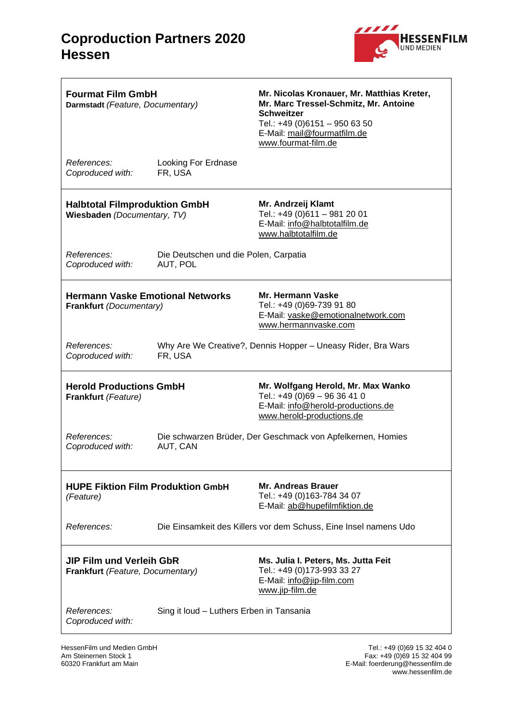

| <b>Fourmat Film GmbH</b><br>Darmstadt (Feature, Documentary)              |                                                   | Mr. Nicolas Kronauer, Mr. Matthias Kreter,<br>Mr. Marc Tressel-Schmitz, Mr. Antoine<br><b>Schweitzer</b><br>Tel.: +49 (0)6151 - 950 63 50<br>E-Mail: mail@fourmatfilm.de<br>www.fourmat-film.de |
|---------------------------------------------------------------------------|---------------------------------------------------|-------------------------------------------------------------------------------------------------------------------------------------------------------------------------------------------------|
| References:<br>Coproduced with:                                           | Looking For Erdnase<br>FR, USA                    |                                                                                                                                                                                                 |
| <b>Halbtotal Filmproduktion GmbH</b><br>Wiesbaden (Documentary, TV)       |                                                   | Mr. Andrzeij Klamt<br>Tel.: +49 (0)611 - 981 20 01<br>E-Mail: info@halbtotalfilm.de<br>www.halbtotalfilm.de                                                                                     |
| <i>References:</i><br>Coproduced with:                                    | Die Deutschen und die Polen, Carpatia<br>AUT, POL |                                                                                                                                                                                                 |
| <b>Hermann Vaske Emotional Networks</b><br><b>Frankfurt</b> (Documentary) |                                                   | Mr. Hermann Vaske<br>Tel.: +49 (0)69-739 91 80<br>E-Mail: vaske@emotionalnetwork.com<br>www.hermannvaske.com                                                                                    |
| <i>References:</i><br>Coproduced with:                                    | FR, USA                                           | Why Are We Creative?, Dennis Hopper – Uneasy Rider, Bra Wars                                                                                                                                    |
| <b>Herold Productions GmbH</b><br>Frankfurt (Feature)                     |                                                   | Mr. Wolfgang Herold, Mr. Max Wanko<br>Tel.: +49 (0)69 - 96 36 41 0<br>E-Mail: info@herold-productions.de<br>www.herold-productions.de                                                           |
| <i>References:</i><br>Coproduced with:                                    | AUT, CAN                                          | Die schwarzen Brüder, Der Geschmack von Apfelkernen, Homies                                                                                                                                     |
| <b>HUPE Fiktion Film Produktion GmbH</b><br>(Feature)                     |                                                   | <b>Mr. Andreas Brauer</b><br>Tel.: +49 (0)163-784 34 07<br>E-Mail: ab@hupefilmfiktion.de                                                                                                        |
| References:                                                               |                                                   | Die Einsamkeit des Killers vor dem Schuss, Eine Insel namens Udo                                                                                                                                |
| <b>JIP Film und Verleih GbR</b><br>Frankfurt (Feature, Documentary)       |                                                   | Ms. Julia I. Peters, Ms. Jutta Feit<br>Tel.: +49 (0)173-993 33 27<br>E-Mail: info@jip-film.com<br>www.jip-film.de                                                                               |
| References:<br>Coproduced with:                                           | Sing it loud - Luthers Erben in Tansania          |                                                                                                                                                                                                 |

HessenFilm und Medien GmbH<br>Am Steinernen Stock 1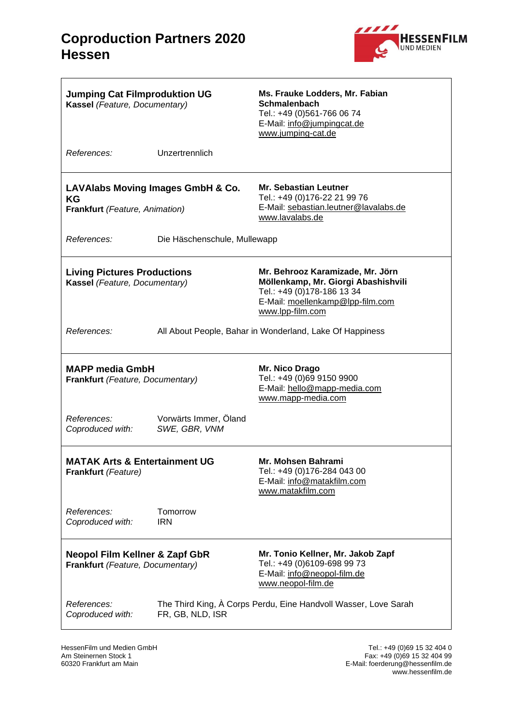

| <b>Jumping Cat Filmproduktion UG</b><br>Kassel (Feature, Documentary)                       |                                        | Ms. Frauke Lodders, Mr. Fabian<br><b>Schmalenbach</b><br>Tel.: +49 (0)561-766 06 74<br>E-Mail: info@jumpingcat.de<br>www.jumping-cat.de                       |
|---------------------------------------------------------------------------------------------|----------------------------------------|---------------------------------------------------------------------------------------------------------------------------------------------------------------|
| <i>References:</i>                                                                          | Unzertrennlich                         |                                                                                                                                                               |
| <b>LAVAlabs Moving Images GmbH &amp; Co.</b><br><b>KG</b><br>Frankfurt (Feature, Animation) |                                        | <b>Mr. Sebastian Leutner</b><br>Tel.: +49 (0)176-22 21 99 76<br>E-Mail: sebastian.leutner@lavalabs.de<br>www.lavalabs.de                                      |
| References:                                                                                 | Die Häschenschule, Mullewapp           |                                                                                                                                                               |
| <b>Living Pictures Productions</b><br>Kassel (Feature, Documentary)                         |                                        | Mr. Behrooz Karamizade, Mr. Jörn<br>Möllenkamp, Mr. Giorgi Abashishvili<br>Tel.: +49 (0)178-186 13 34<br>E-Mail: moellenkamp@lpp-film.com<br>www.lpp-film.com |
| References:                                                                                 |                                        | All About People, Bahar in Wonderland, Lake Of Happiness                                                                                                      |
| <b>MAPP media GmbH</b><br>Frankfurt (Feature, Documentary)                                  |                                        | Mr. Nico Drago<br>Tel.: +49 (0)69 9150 9900<br>E-Mail: hello@mapp-media.com<br>www.mapp-media.com                                                             |
| References:<br>Coproduced with:                                                             | Vorwärts Immer, Öland<br>SWE, GBR, VNM |                                                                                                                                                               |
| <b>MATAK Arts &amp; Entertainment UG</b><br>Frankfurt (Feature)                             |                                        | Mr. Mohsen Bahrami<br>Tel.: +49 (0)176-284 043 00<br>E-Mail: info@matakfilm.com<br>www.matakfilm.com                                                          |
| References:<br>Coproduced with:                                                             | Tomorrow<br><b>IRN</b>                 |                                                                                                                                                               |
| <b>Neopol Film Kellner &amp; Zapf GbR</b><br>Frankfurt (Feature, Documentary)               |                                        | Mr. Tonio Kellner, Mr. Jakob Zapf<br>Tel.: +49 (0)6109-698 99 73<br>E-Mail: info@neopol-film.de<br>www.neopol-film.de                                         |
| References:<br>Coproduced with:                                                             | FR, GB, NLD, ISR                       | The Third King, A Corps Perdu, Eine Handvoll Wasser, Love Sarah                                                                                               |

HessenFilm und Medien GmbH<br>Am Steinernen Stock 1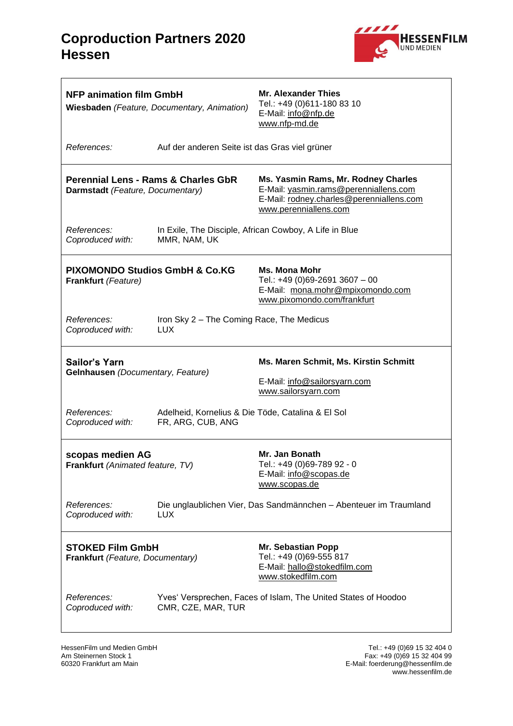## **Coproduction Partners 2020 Hessen**



| <b>NFP animation film GmbH</b><br>Wiesbaden (Feature, Documentary, Animation)      |                                                                        | <b>Mr. Alexander Thies</b><br>Tel.: +49 (0)611-180 83 10<br>E-Mail: info@nfp.de<br>www.nfp-md.de                                                  |
|------------------------------------------------------------------------------------|------------------------------------------------------------------------|---------------------------------------------------------------------------------------------------------------------------------------------------|
| References:                                                                        | Auf der anderen Seite ist das Gras viel grüner                         |                                                                                                                                                   |
| <b>Perennial Lens - Rams &amp; Charles GbR</b><br>Darmstadt (Feature, Documentary) |                                                                        | Ms. Yasmin Rams, Mr. Rodney Charles<br>E-Mail: yasmin.rams@perenniallens.com<br>E-Mail: rodney.charles@perenniallens.com<br>www.perenniallens.com |
| References:<br>Coproduced with:                                                    | MMR, NAM, UK                                                           | In Exile, The Disciple, African Cowboy, A Life in Blue                                                                                            |
| <b>PIXOMONDO Studios GmbH &amp; Co.KG</b><br>Frankfurt (Feature)                   |                                                                        | <b>Ms. Mona Mohr</b><br>Tel.: +49 (0)69-2691 3607 - 00<br>E-Mail: mona.mohr@mpixomondo.com<br>www.pixomondo.com/frankfurt                         |
| References:<br>Coproduced with:                                                    | Iron Sky 2 - The Coming Race, The Medicus<br><b>LUX</b>                |                                                                                                                                                   |
| <b>Sailor's Yarn</b><br>Gelnhausen (Documentary, Feature)                          |                                                                        | Ms. Maren Schmit, Ms. Kirstin Schmitt<br>E-Mail: info@sailorsyarn.com<br>www.sailorsyarn.com                                                      |
| References:<br>Coproduced with:                                                    | Adelheid, Kornelius & Die Töde, Catalina & El Sol<br>FR, ARG, CUB, ANG |                                                                                                                                                   |
| scopas medien AG<br>Frankfurt (Animated feature, TV)                               |                                                                        | Mr. Jan Bonath<br>Tel.: +49 (0)69-789 92 - 0<br>E-Mail: info@scopas.de<br>www.scopas.de                                                           |
| References:<br>Coproduced with:                                                    | <b>LUX</b>                                                             | Die unglaublichen Vier, Das Sandmännchen - Abenteuer im Traumland                                                                                 |
| <b>STOKED Film GmbH</b><br>Frankfurt (Feature, Documentary)                        |                                                                        | <b>Mr. Sebastian Popp</b><br>Tel.: +49 (0)69-555 817<br>E-Mail: hallo@stokedfilm.com<br>www.stokedfilm.com                                        |
| References:<br>Coproduced with:                                                    | CMR, CZE, MAR, TUR                                                     | Yves' Versprechen, Faces of Islam, The United States of Hoodoo                                                                                    |

HessenFilm und Medien GmbH<br>Am Steinernen Stock 1